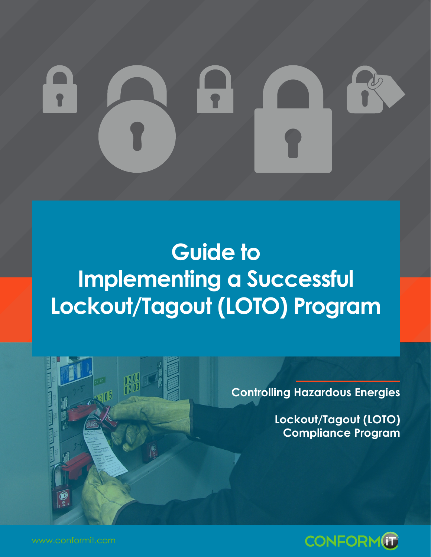# **Guide to Implementing a Successful Lockout/Tagout (LOTO) Program**



**Controlling Hazardous Energies**

**Lockout/Tagout (LOTO) Compliance Program**

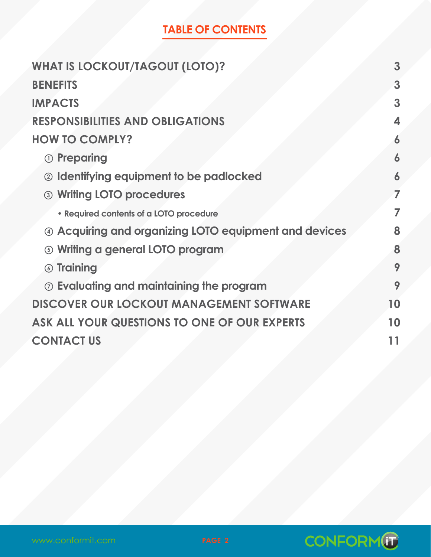## **TABLE OF CONTENTS**

| <b>WHAT IS LOCKOUT/TAGOUT (LOTO)?</b>                 | 3  |
|-------------------------------------------------------|----|
| <b>BENEFITS</b>                                       | 3  |
| <b>IMPACTS</b>                                        | 3  |
| <b>RESPONSIBILITIES AND OBLIGATIONS</b>               | 4  |
| <b>HOW TO COMPLY?</b>                                 |    |
| <b>1</b> Preparing                                    | 6  |
| 2 Identifying equipment to be padlocked               | 6  |
| 3 Writing LOTO procedures                             | 7  |
| • Required contents of a LOTO procedure               | 7  |
| 4 Acquiring and organizing LOTO equipment and devices | 8  |
| <b>6 Writing a general LOTO program</b>               | 8  |
| <b>6 Training</b>                                     | 9  |
| $\odot$ Evaluating and maintaining the program        | 9  |
| <b>DISCOVER OUR LOCKOUT MANAGEMENT SOFTWARE</b>       | 10 |
| ASK ALL YOUR QUESTIONS TO ONE OF OUR EXPERTS          | 10 |
| <b>CONTACT US</b>                                     | 11 |

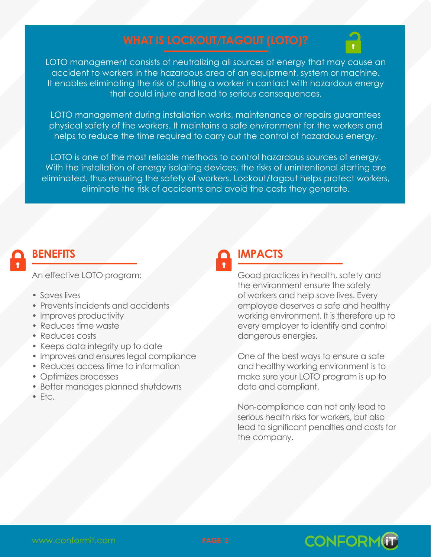

<span id="page-2-0"></span>LOTO management consists of neutralizing all sources of energy that may cause an accident to workers in the hazardous area of an equipment, system or machine. It enables eliminating the risk of putting a worker in contact with hazardous energy that could injure and lead to serious consequences.

LOTO management during installation works, maintenance or repairs guarantees physical safety of the workers. It maintains a safe environment for the workers and helps to reduce the time required to carry out the control of hazardous energy.

LOTO is one of the most reliable methods to control hazardous sources of energy. With the installation of energy isolating devices, the risks of unintentional starting are eliminated, thus ensuring the safety of workers. Lockout/tagout helps protect workers, eliminate the risk of accidents and avoid the costs they generate.

### **BENEFITS**

An effective LOTO program:

- Saves lives
- Prevents incidents and accidents
- Improves productivity
- Reduces time waste
- Reduces costs
- Keeps data integrity up to date
- Improves and ensures legal compliance
- Reduces access time to information
- Optimizes processes
- Better manages planned shutdowns
- Etc.

## **IMPACTS**

Good practices in health, safety and the environment ensure the safety of workers and help save lives. Every employee deserves a safe and healthy working environment. It is therefore up to every employer to identify and control dangerous energies.

One of the best ways to ensure a safe and healthy working environment is to make sure your LOTO program is up to date and compliant.

Non-compliance can not only lead to serious health risks for workers, but also lead to significant penalties and costs for the company.



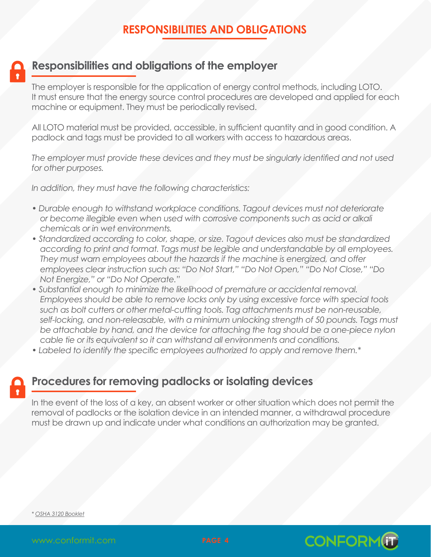#### **RESPONSIBILITIES AND OBLIGATIONS**

<span id="page-3-0"></span>

#### **Responsibilities and obligations of the employer**

The employer is responsible for the application of energy control methods, including LOTO. It must ensure that the energy source control procedures are developed and applied for each machine or equipment. They must be periodically revised.

All LOTO material must be provided, accessible, in sufficient quantity and in good condition. A padlock and tags must be provided to all workers with access to hazardous areas.

*The employer must provide these devices and they must be singularly identified and not used for other purposes.*

*In addition, they must have the following characteristics:*

- *Durable enough to withstand workplace conditions. Tagout devices must not deteriorate or become illegible even when used with corrosive components such as acid or alkali chemicals or in wet environments.*
- Standardized according to color, shape, or size. Tagout devices also must be standardized *according to print and format. Tags must be legible and understandable by all employees. They must warn employees about the hazards if the machine is energized, and offer employees clear instruction such as: "Do Not Start," "Do Not Open," "Do Not Close," "Do Not Energize," or "Do Not Operate."*
- *Substantial enough to minimize the likelihood of premature or accidental removal. Employees should be able to remove locks only by using excessive force with special tools such as bolt cutters or other metal-cutting tools. Tag attachments must be non-reusable,*  self-locking, and non-releasable, with a minimum unlocking strength of 50 pounds. Tags must *be attachable by hand, and the device for attaching the tag should be a one-piece nylon cable tie or its equivalent so it can withstand all environments and conditions.*
- *Labeled to identify the specific employees authorized to apply and remove them.\**

#### **Procedures for removing padlocks or isolating devices**

In the event of the loss of a key, an absent worker or other situation which does not permit the removal of padlocks or the isolation device in an intended manner, a withdrawal procedure must be drawn up and indicate under what conditions an authorization may be granted.

*\* [OSHA 3120 Booklet](https://www.osha.gov/Publications/osha3120.pdf)*



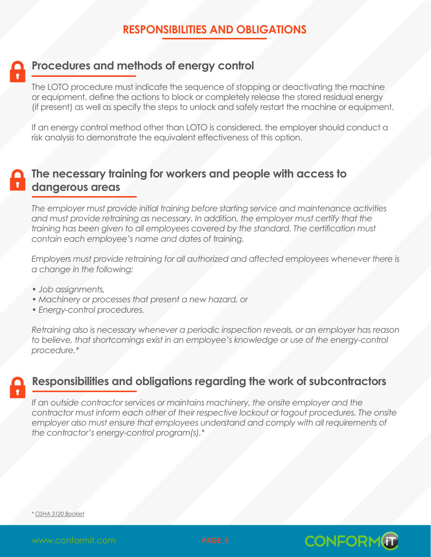#### **RESPONSIBILITIES AND OBLIGATIONS**

#### **Procedures and methods of energy control**

The LOTO procedure must indicate the sequence of stopping or deactivating the machine or equipment, define the actions to block or completely release the stored residual energy (if present) as well as specify the steps to unlock and safely restart the machine or equipment.

If an energy control method other than LOTO is considered, the employer should conduct a risk analysis to demonstrate the equivalent effectiveness of this option.

## **The necessary training for workers and people with access to dangerous areas**

*The employer must provide initial training before starting service and maintenance activities*  and must provide retraining as necessary. In addition, the employer must certify that the *training has been given to all employees covered by the standard. The certification must contain each employee's name and dates of training.*

*Employers must provide retraining for all authorized and affected employees whenever there is a change in the following:*

- *Job assignments,*
- *Machinery or processes that present a new hazard, or*
- *Energy-control procedures.*

*Retraining also is necessary whenever a periodic inspection reveals, or an employer has reason*  to believe, that shortcomings exist in an employee's knowledge or use of the energy-control *procedure.\**



#### **Responsibilities and obligations regarding the work of subcontractors**

If an outside contractor services or maintains machinery, the onsite employer and the *contractor must inform each other of their respective lockout or tagout procedures. The onsite*  employer also must ensure that employees understand and comply with all requirements of *the contractor's energy-control program(s).\**

*\* [OSHA 3120 Booklet](https://www.osha.gov/Publications/osha3120.pdf)*



**CONFORM**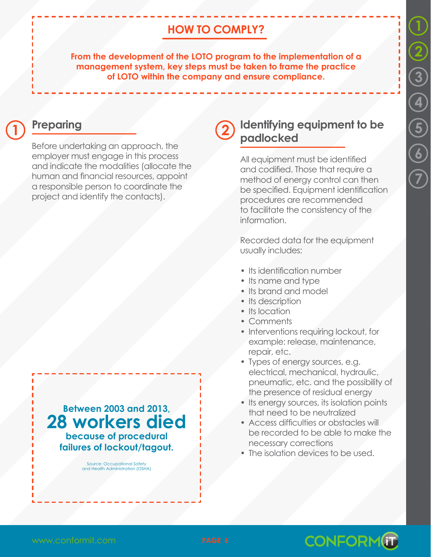# **1 2 [3](#page-6-0) [4](#page-7-0) [5](#page-7-0) [6](#page-8-0) [7](#page-8-0)**

#### **HOW TO COMPLY?**

<span id="page-5-0"></span>**From the development of the LOTO program to the implementation of a management system, key steps must be taken to frame the practice of LOTO within the company and ensure compliance.**

#### **Preparing 1 2**

Before undertaking an approach, the employer must engage in this process and indicate the modalities (allocate the human and financial resources, appoint a responsible person to coordinate the project and identify the contacts).

**Between 2003 and 2013, 28 workers died because of procedural failures of lockout/tagout.**

> Source: Occupational Safety and Health Administration (OSHA)

#### **Identifying equipment to be padlocked**

All equipment must be identified and codified. Those that require a method of energy control can then be specified. Equipment identification procedures are recommended to facilitate the consistency of the information.

Recorded data for the equipment usually includes:

- Its identification number
- Its name and type
- Its brand and model
- Its description
- Its location
- Comments
- Interventions requiring lockout, for example: release, maintenance, repair, etc.
- Types of energy sources, e.g. electrical, mechanical, hydraulic, pneumatic, etc. and the possibility of the presence of residual energy
- Its energy sources, its isolation points that need to be neutralized
- Access difficulties or obstacles will be recorded to be able to make the necessary corrections
- The isolation devices to be used.



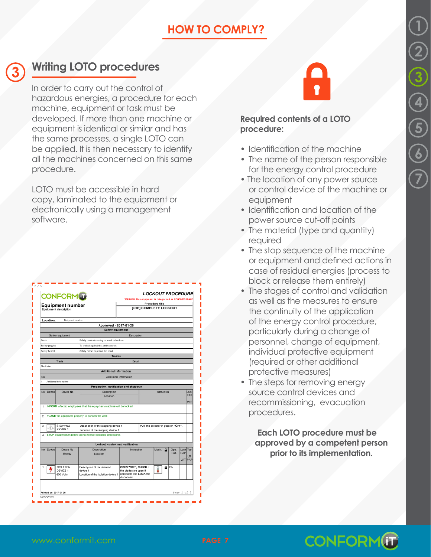# **[1](#page-5-0) [2](#page-5-0) 3 [4](#page-7-0) [5](#page-7-0) [6](#page-8-0) [7](#page-8-0)**

### **HOW TO COMPLY?**

## <span id="page-6-0"></span>**3**

### **Writing LOTO procedures**

In order to carry out the control of hazardous energies, a procedure for each machine, equipment or task must be developed. If more than one machine or equipment is identical or similar and has the same processes, a single LOTO can be applied. It is then necessary to identify all the machines concerned on this same procedure.

LOTO must be accessible in hard copy, laminated to the equipment or electronically using a management software.

| <b>Equipment number</b><br><b>Equipment description</b> |                             |                          |                                                                      | WARNING: This equpment is categorized as CONFINED SPACE<br>Procedure title<br>[LOP] COMPLETE LOCKOUT |  |           |  |      |             |                |
|---------------------------------------------------------|-----------------------------|--------------------------|----------------------------------------------------------------------|------------------------------------------------------------------------------------------------------|--|-----------|--|------|-------------|----------------|
|                                                         | Location:                   | Equipment location       |                                                                      |                                                                                                      |  |           |  |      |             |                |
|                                                         |                             |                          | Approved - 2017-01-20<br>Safety equipment                            |                                                                                                      |  |           |  |      |             |                |
|                                                         |                             | Safety equipment         |                                                                      | Description                                                                                          |  |           |  |      |             |                |
| Boots                                                   |                             |                          | Safety boots depending on work to be done.                           |                                                                                                      |  |           |  |      |             |                |
|                                                         | Safety poppies              |                          | To protect against dust and splashes.                                |                                                                                                      |  |           |  |      |             |                |
|                                                         | Safety helmet               |                          | Safety helmet to protect the head.                                   |                                                                                                      |  |           |  |      |             |                |
|                                                         |                             |                          | Trades                                                               |                                                                                                      |  |           |  |      |             |                |
|                                                         |                             | Trade                    |                                                                      | Detail                                                                                               |  |           |  |      |             |                |
| Electrician                                             |                             |                          |                                                                      |                                                                                                      |  |           |  |      |             |                |
|                                                         |                             |                          | Additional information                                               |                                                                                                      |  |           |  |      |             |                |
| No                                                      |                             |                          |                                                                      | Additional information                                                                               |  |           |  |      |             |                |
| ÿ                                                       |                             | Additional information 1 |                                                                      |                                                                                                      |  |           |  |      |             |                |
|                                                         |                             |                          | Preparation, notification and shutdown                               |                                                                                                      |  |           |  |      |             |                |
| No                                                      | Device                      | Device No.               | Description                                                          | Instruction                                                                                          |  |           |  |      | Lock<br>PAP |                |
|                                                         |                             |                          | Location                                                             |                                                                                                      |  |           |  |      |             |                |
| 1                                                       |                             |                          | INFORM affected employees that the equipment/machine will be locked. |                                                                                                      |  |           |  |      |             | <b>VVTT</b>    |
|                                                         |                             |                          |                                                                      |                                                                                                      |  |           |  |      |             |                |
| 2                                                       |                             |                          | PLACE the equipment property to perform the work.                    |                                                                                                      |  |           |  |      |             |                |
|                                                         |                             |                          |                                                                      |                                                                                                      |  |           |  |      |             |                |
| $\overline{3}$                                          | <b>STOPPING</b><br>DEVICE 1 |                          | Description of the stopping device 1                                 | PUT the selector in position "OFF".                                                                  |  |           |  |      |             |                |
|                                                         |                             |                          | Location of the stopping device 1                                    |                                                                                                      |  |           |  |      |             |                |
| 4                                                       |                             |                          | STOP equipment/machine using normal operating procedures.            |                                                                                                      |  |           |  |      |             |                |
|                                                         |                             |                          | Lockout, control and verification                                    |                                                                                                      |  |           |  |      |             |                |
| No                                                      | Device                      | Device No.               | Description                                                          | Instruction                                                                                          |  | Mech<br>۵ |  | Ope  | Lock Test   |                |
|                                                         | Energy                      |                          | Location                                                             |                                                                                                      |  |           |  | Pas. | PAP         | LR.            |
|                                                         |                             |                          |                                                                      |                                                                                                      |  |           |  |      |             | <b>WIT PAP</b> |
|                                                         |                             | <b>ISOLATION</b>         | Description of the isolation                                         |                                                                                                      |  |           |  | ON   |             |                |
| 1                                                       |                             | DEVICE 1                 | device 1                                                             | OPEN "OFF", CHECK if<br>the blades are open if<br>applicable and LOCK the<br>disconnect.             |  | ۵<br>ĭ    |  |      |             |                |
|                                                         |                             | alloV 008                | Location of the isolation device 1                                   |                                                                                                      |  |           |  |      |             |                |
|                                                         |                             |                          |                                                                      |                                                                                                      |  |           |  |      |             |                |



#### **Required contents of a LOTO procedure:**

- Identification of the machine
- The name of the person responsible for the energy control procedure
- The location of any power source or control device of the machine or equipment
- Identification and location of the power source cut-off points
- The material (type and quantity) required
- The stop sequence of the machine or equipment and defined actions in case of residual energies (process to block or release them entirely)
- The stages of control and validation as well as the measures to ensure the continuity of the application of the energy control procedure, particularly during a change of personnel, change of equipment, individual protective equipment (required or other additional protective measures)
- The steps for removing energy source control devices and recommissioning, evacuation procedures.

**Each LOTO procedure must be approved by a competent person prior to its implementation.**

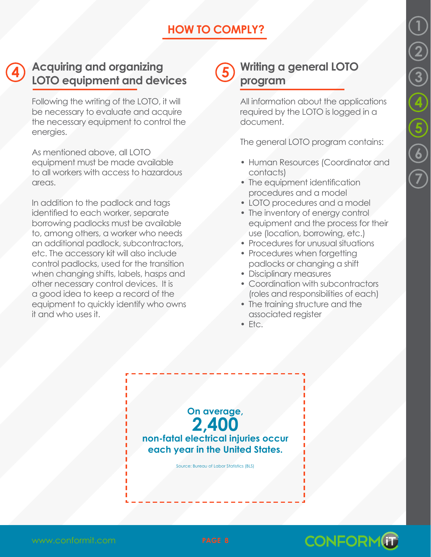#### **HOW TO COMPLY?**

#### <span id="page-7-0"></span>**Acquiring and organizing LOTO equipment and devices** 4) Acquiring and organizing (5)

Following the writing of the LOTO, it will be necessary to evaluate and acquire the necessary equipment to control the energies.

As mentioned above, all LOTO equipment must be made available to all workers with access to hazardous areas.

In addition to the padlock and tags identified to each worker, separate borrowing padlocks must be available to, among others, a worker who needs an additional padlock, subcontractors, etc. The accessory kit will also include control padlocks, used for the transition when changing shifts, labels, hasps and other necessary control devices. It is a good idea to keep a record of the equipment to quickly identify who owns it and who uses it.

#### **Writing a general LOTO program**

All information about the applications required by the LOTO is logged in a document.

The general LOTO program contains:

- Human Resources (Coordinator and contacts)
- The equipment identification procedures and a model
- LOTO procedures and a model
- The inventory of energy control equipment and the process for their use (location, borrowing, etc.)
- Procedures for unusual situations
- Procedures when forgetting padlocks or changing a shift
- Disciplinary measures
- Coordination with subcontractors (roles and responsibilities of each)
- The training structure and the associated register
- Etc.





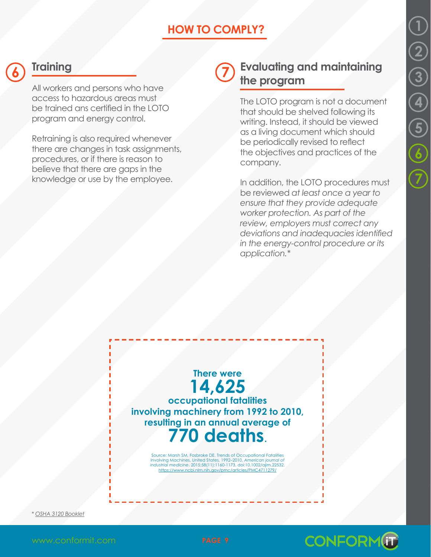# **[1](#page-5-0) [2](#page-5-0) [3](#page-6-0) [4](#page-7-0) [5](#page-7-0) 6 7**

#### **HOW TO COMPLY?**

<span id="page-8-0"></span>

#### **Training 6 7**

All workers and persons who have access to hazardous areas must be trained ans certified in the LOTO program and energy control.

Retraining is also required whenever there are changes in task assignments, procedures, or if there is reason to believe that there are gaps in the knowledge or use by the employee.

#### **Evaluating and maintaining the program**

The LOTO program is not a document that should be shelved following its writing. Instead, it should be viewed as a living document which should be periodically revised to reflect the objectives and practices of the company.

In addition, the LOTO procedures must be reviewed *at least once a year to ensure that they provide adequate worker protection. As part of the review, employers must correct any deviations and inadequacies identified in the energy-control procedure or its application.\**



Source: Marsh SM, Fosbroke DE. Trends of Occupational Fatalities<br>Involving Machines, United States, 1992–2010. American journal of<br>industrial medicine. 2015;58{11}:1160-1173. doi:10.1002/ajim.22532.<br>https://www.ncbi.nlm.ni

*\* [OSHA 3120 Booklet](https://www.osha.gov/Publications/osha3120.pdf)*



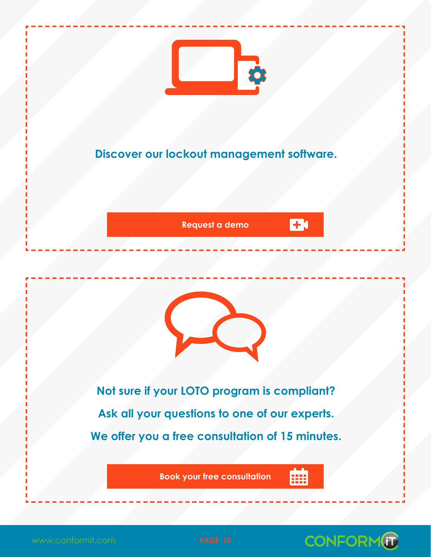<span id="page-9-0"></span>

## **Discover our lockout management software.**

**[Request a demo](https://www.conformit.com/lockout-tagout-demo/?utm_source=whitepaper&utm_medium=offline-document&utm_campaign=lockout-mining)**



**Not sure if your LOTO program is compliant? Ask all your questions to one of our experts. We offer you a free consultation of 15 minutes.**

**[Book your free consultation](https://www.conformit.com/call-lockout-tagout)**

驑

**EB**